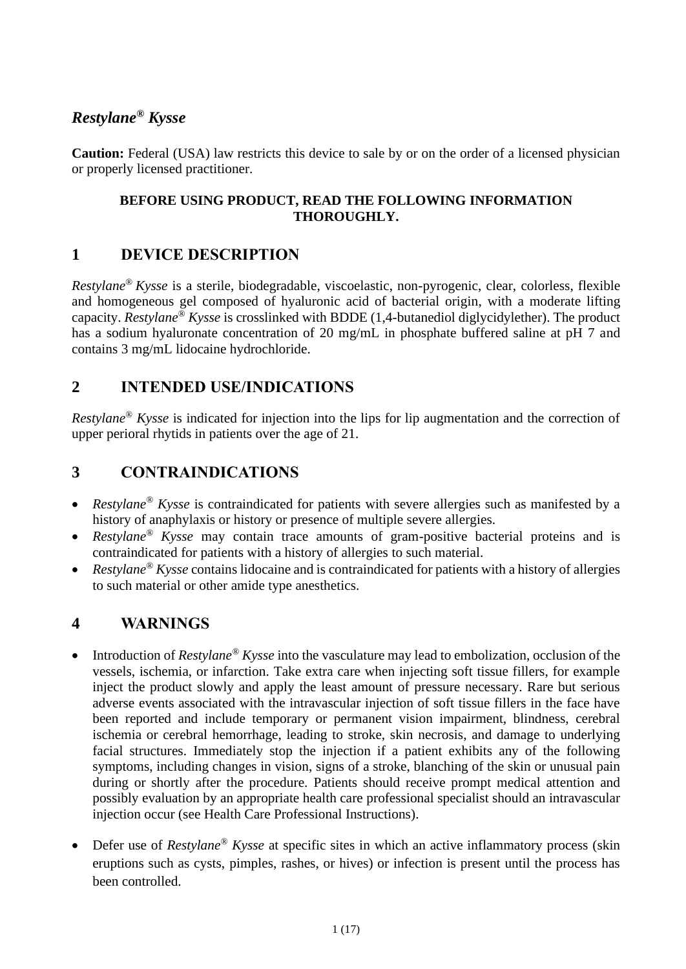# *Restylane® Kysse*

**Caution:** Federal (USA) law restricts this device to sale by or on the order of a licensed physician or properly licensed practitioner.

### **BEFORE USING PRODUCT, READ THE FOLLOWING INFORMATION THOROUGHLY.**

# **1 DEVICE DESCRIPTION**

*Restylane® Kysse* is a sterile, biodegradable, viscoelastic, non-pyrogenic, clear, colorless, flexible and homogeneous gel composed of hyaluronic acid of bacterial origin, with a moderate lifting capacity. *Restylane® Kysse* is crosslinked with BDDE (1,4-butanediol diglycidylether). The product has a sodium hyaluronate concentration of 20 mg/mL in phosphate buffered saline at pH 7 and contains 3 mg/mL lidocaine hydrochloride.

## **2 INTENDED USE/INDICATIONS**

*Restylane® Kysse* is indicated for injection into the lips for lip augmentation and the correction of upper perioral rhytids in patients over the age of 21.

# **3 CONTRAINDICATIONS**

- *Restylane® Kysse* is contraindicated for patients with severe allergies such as manifested by a history of anaphylaxis or history or presence of multiple severe allergies.
- *Restylane® Kysse* may contain trace amounts of gram-positive bacterial proteins and is contraindicated for patients with a history of allergies to such material.
- *Restylane® Kysse* contains lidocaine and is contraindicated for patients with a history of allergies to such material or other amide type anesthetics.

# **4 WARNINGS**

- Introduction of *Restylane® Kysse* into the vasculature may lead to embolization, occlusion of the vessels, ischemia, or infarction. Take extra care when injecting soft tissue fillers, for example inject the product slowly and apply the least amount of pressure necessary. Rare but serious adverse events associated with the intravascular injection of soft tissue fillers in the face have been reported and include temporary or permanent vision impairment, blindness, cerebral ischemia or cerebral hemorrhage, leading to stroke, skin necrosis, and damage to underlying facial structures. Immediately stop the injection if a patient exhibits any of the following symptoms, including changes in vision, signs of a stroke, blanching of the skin or unusual pain during or shortly after the procedure. Patients should receive prompt medical attention and possibly evaluation by an appropriate health care professional specialist should an intravascular injection occur (see Health Care Professional Instructions).
- Defer use of *Restylane® Kysse* at specific sites in which an active inflammatory process (skin eruptions such as cysts, pimples, rashes, or hives) or infection is present until the process has been controlled.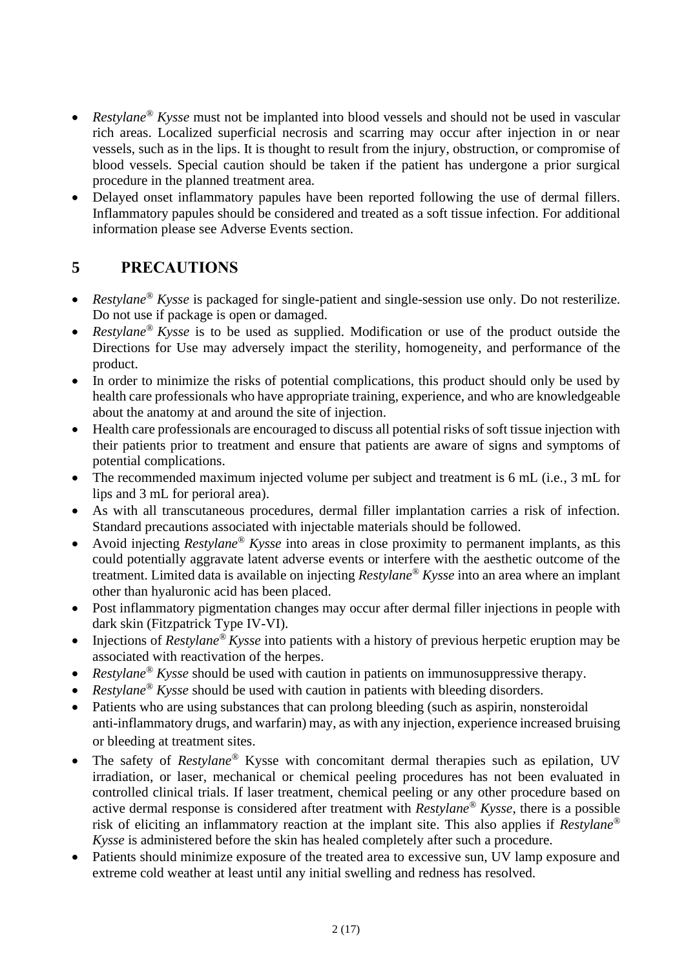- *Restylane® Kysse* must not be implanted into blood vessels and should not be used in vascular rich areas. Localized superficial necrosis and scarring may occur after injection in or near vessels, such as in the lips. It is thought to result from the injury, obstruction, or compromise of blood vessels. Special caution should be taken if the patient has undergone a prior surgical procedure in the planned treatment area.
- Delayed onset inflammatory papules have been reported following the use of dermal fillers. Inflammatory papules should be considered and treated as a soft tissue infection. For additional information please see Adverse Events section.

## **5 PRECAUTIONS**

- *Restylane® Kysse* is packaged for single-patient and single-session use only. Do not resterilize. Do not use if package is open or damaged.
- *Restylane® Kysse* is to be used as supplied. Modification or use of the product outside the Directions for Use may adversely impact the sterility, homogeneity, and performance of the product.
- In order to minimize the risks of potential complications, this product should only be used by health care professionals who have appropriate training, experience, and who are knowledgeable about the anatomy at and around the site of injection.
- Health care professionals are encouraged to discuss all potential risks of soft tissue injection with their patients prior to treatment and ensure that patients are aware of signs and symptoms of potential complications.
- The recommended maximum injected volume per subject and treatment is 6 mL (i.e., 3 mL for lips and 3 mL for perioral area).
- As with all transcutaneous procedures, dermal filler implantation carries a risk of infection. Standard precautions associated with injectable materials should be followed.
- Avoid injecting *Restylane® Kysse* into areas in close proximity to permanent implants, as this could potentially aggravate latent adverse events or interfere with the aesthetic outcome of the treatment. Limited data is available on injecting *Restylane® Kysse* into an area where an implant other than hyaluronic acid has been placed.
- Post inflammatory pigmentation changes may occur after dermal filler injections in people with dark skin (Fitzpatrick Type IV-VI).
- Injections of *Restylane® Kysse* into patients with a history of previous herpetic eruption may be associated with reactivation of the herpes.
- *Restylane® Kysse* should be used with caution in patients on immunosuppressive therapy.
- *Restylane® Kysse* should be used with caution in patients with bleeding disorders.
- Patients who are using substances that can prolong bleeding (such as aspirin, nonsteroidal anti-inflammatory drugs, and warfarin) may, as with any injection, experience increased bruising or bleeding at treatment sites.
- The safety of *Restylane®* Kysse with concomitant dermal therapies such as epilation, UV irradiation, or laser, mechanical or chemical peeling procedures has not been evaluated in controlled clinical trials. If laser treatment, chemical peeling or any other procedure based on active dermal response is considered after treatment with *Restylane® Kysse*, there is a possible risk of eliciting an inflammatory reaction at the implant site. This also applies if *Restylane® Kysse* is administered before the skin has healed completely after such a procedure.
- Patients should minimize exposure of the treated area to excessive sun, UV lamp exposure and extreme cold weather at least until any initial swelling and redness has resolved.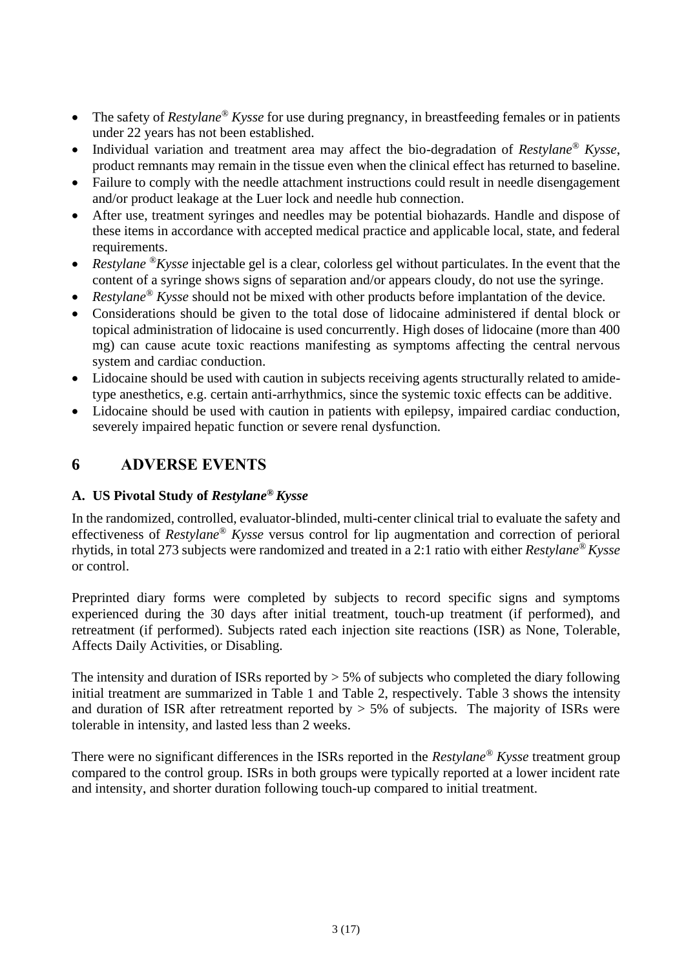- The safety of *Restylane® Kysse* for use during pregnancy, in breastfeeding females or in patients under 22 years has not been established.
- Individual variation and treatment area may affect the bio-degradation of *Restylane® Kysse*, product remnants may remain in the tissue even when the clinical effect has returned to baseline.
- Failure to comply with the needle attachment instructions could result in needle disengagement and/or product leakage at the Luer lock and needle hub connection.
- After use, treatment syringes and needles may be potential biohazards. Handle and dispose of these items in accordance with accepted medical practice and applicable local, state, and federal requirements.
- *Restylane* <sup>®</sup>*Kysse* injectable gel is a clear, colorless gel without particulates. In the event that the content of a syringe shows signs of separation and/or appears cloudy, do not use the syringe.
- *Restylane® Kysse* should not be mixed with other products before implantation of the device.
- Considerations should be given to the total dose of lidocaine administered if dental block or topical administration of lidocaine is used concurrently. High doses of lidocaine (more than 400 mg) can cause acute toxic reactions manifesting as symptoms affecting the central nervous system and cardiac conduction.
- Lidocaine should be used with caution in subjects receiving agents structurally related to amidetype anesthetics, e.g. certain anti-arrhythmics, since the systemic toxic effects can be additive.
- Lidocaine should be used with caution in patients with epilepsy, impaired cardiac conduction, severely impaired hepatic function or severe renal dysfunction.

## **6 ADVERSE EVENTS**

#### **A. US Pivotal Study of** *Restylane® Kysse*

In the randomized, controlled, evaluator-blinded, multi-center clinical trial to evaluate the safety and effectiveness of *Restylane® Kysse* versus control for lip augmentation and correction of perioral rhytids, in total 273 subjects were randomized and treated in a 2:1 ratio with either *Restylane® Kysse* or control.

Preprinted diary forms were completed by subjects to record specific signs and symptoms experienced during the 30 days after initial treatment, touch-up treatment (if performed), and retreatment (if performed). Subjects rated each injection site reactions (ISR) as None, Tolerable, Affects Daily Activities, or Disabling.

The intensity and duration of ISRs reported by  $> 5\%$  of subjects who completed the diary following initial treatment are summarized in Table 1 and [Table 2,](#page-3-0) respectively. [Table 3](#page-4-0) shows the intensity and duration of ISR after retreatment reported by  $> 5\%$  of subjects. The majority of ISRs were tolerable in intensity, and lasted less than 2 weeks.

There were no significant differences in the ISRs reported in the *Restylane® Kysse* treatment group compared to the control group. ISRs in both groups were typically reported at a lower incident rate and intensity, and shorter duration following touch-up compared to initial treatment.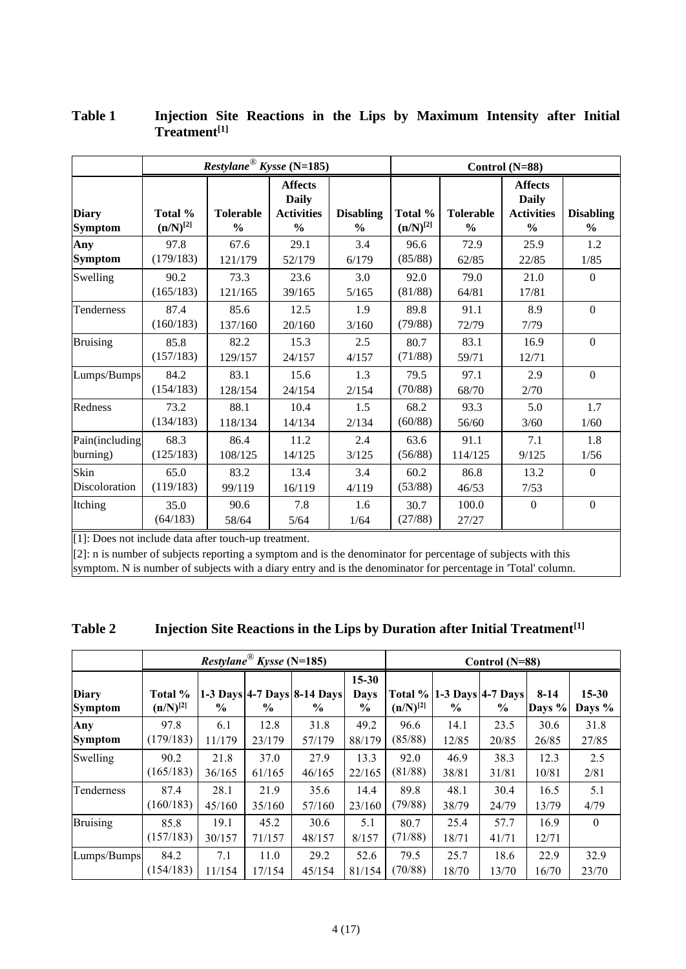|                                |                          | $Restplane^{\circledR}$ Kysse (N=185) |                                                                      |                                   | Control (N=88)           |                                   |                                                                      |                                   |  |
|--------------------------------|--------------------------|---------------------------------------|----------------------------------------------------------------------|-----------------------------------|--------------------------|-----------------------------------|----------------------------------------------------------------------|-----------------------------------|--|
| <b>Diary</b><br><b>Symptom</b> | Total %<br>$(n/N)^{[2]}$ | <b>Tolerable</b><br>$\frac{6}{9}$     | <b>Affects</b><br><b>Daily</b><br><b>Activities</b><br>$\frac{0}{0}$ | <b>Disabling</b><br>$\frac{0}{0}$ | Total %<br>$(n/N)^{[2]}$ | <b>Tolerable</b><br>$\frac{0}{0}$ | <b>Affects</b><br><b>Daily</b><br><b>Activities</b><br>$\frac{6}{9}$ | <b>Disabling</b><br>$\frac{6}{6}$ |  |
| Any<br><b>Symptom</b>          | 97.8<br>(179/183)        | 67.6<br>121/179                       | 29.1<br>52/179                                                       | 3.4<br>6/179                      | 96.6<br>(85/88)          | 72.9<br>62/85                     | 25.9<br>22/85                                                        | 1.2<br>1/85                       |  |
| Swelling                       | 90.2<br>(165/183)        | 73.3<br>121/165                       | 23.6<br>39/165                                                       | 3.0<br>5/165                      | 92.0<br>(81/88)          | 79.0<br>64/81                     | 21.0<br>17/81                                                        | $\theta$                          |  |
| Tenderness                     | 87.4<br>(160/183)        | 85.6<br>137/160                       | 12.5<br>20/160                                                       | 1.9<br>3/160                      | 89.8<br>(79/88)          | 91.1<br>72/79                     | 8.9<br>7/79                                                          | $\mathbf{0}$                      |  |
| <b>Bruising</b>                | 85.8<br>(157/183)        | 82.2<br>129/157                       | 15.3<br>24/157                                                       | 2.5<br>4/157                      | 80.7<br>(71/88)          | 83.1<br>59/71                     | 16.9<br>12/71                                                        | $\Omega$                          |  |
| Lumps/Bumps                    | 84.2<br>(154/183)        | 83.1<br>128/154                       | 15.6<br>24/154                                                       | 1.3<br>2/154                      | 79.5<br>(70/88)          | 97.1<br>68/70                     | 2.9<br>2/70                                                          | $\mathbf{0}$                      |  |
| Redness                        | 73.2<br>(134/183)        | 88.1<br>118/134                       | 10.4<br>14/134                                                       | 1.5<br>2/134                      | 68.2<br>(60/88)          | 93.3<br>56/60                     | 5.0<br>3/60                                                          | 1.7<br>1/60                       |  |
| Pain(including<br>burning)     | 68.3<br>(125/183)        | 86.4<br>108/125                       | 11.2<br>14/125                                                       | 2.4<br>3/125                      | 63.6<br>(56/88)          | 91.1<br>114/125                   | 7.1<br>9/125                                                         | 1.8<br>1/56                       |  |
| Skin<br>Discoloration          | 65.0<br>(119/183)        | 83.2<br>99/119                        | 13.4<br>16/119                                                       | 3.4<br>4/119                      | 60.2<br>(53/88)          | 86.8<br>46/53                     | 13.2<br>7/53                                                         | $\Omega$                          |  |
| Itching                        | 35.0<br>(64/183)         | 90.6<br>58/64                         | 7.8<br>5/64                                                          | 1.6<br>1/64                       | 30.7<br>(27/88)          | 100.0<br>27/27                    | $\mathbf{0}$                                                         | $\mathbf{0}$                      |  |

#### **Table 1 Injection Site Reactions in the Lips by Maximum Intensity after Initial Treatment[1]**

[1]: Does not include data after touch-up treatment.

 $[2]$ : n is number of subjects reporting a symptom and is the denominator for percentage of subjects with this symptom. N is number of subjects with a diary entry and is the denominator for percentage in 'Total' column.

<span id="page-3-0"></span>

| <b>Table 2</b> |  |  |  | Injection Site Reactions in the Lips by Duration after Initial Treatment <sup>[1]</sup> |
|----------------|--|--|--|-----------------------------------------------------------------------------------------|
|                |  |  |  |                                                                                         |

|                                |                          |                | <i>Restylane</i> <sup>®</sup> <i>Kysse</i> (N=185) |                                     |                                  | Control $(N=88)$         |               |                                       |                  |                     |
|--------------------------------|--------------------------|----------------|----------------------------------------------------|-------------------------------------|----------------------------------|--------------------------|---------------|---------------------------------------|------------------|---------------------|
| <b>Diary</b><br><b>Symptom</b> | Total %<br>$(n/N)^{[2]}$ | $\%$           | $\frac{0}{0}$                                      | 1-3 Days 4-7 Days 8-14 Days<br>$\%$ | $15 - 30$<br><b>Days</b><br>$\%$ | Total %<br>$(n/N)^{[2]}$ | $\frac{6}{9}$ | 1-3 Days $ 4-7$ Days<br>$\frac{6}{9}$ | $8-14$<br>Days % | $15 - 30$<br>Days % |
| Any                            | 97.8                     | 6.1            | 12.8                                               | 31.8                                | 49.2                             | 96.6                     | 14.1          | 23.5                                  | 30.6             | 31.8                |
| <b>Symptom</b>                 | (179/183)                | 11/179         | 23/179                                             | 57/179                              | 88/179                           | (85/88)                  | 12/85         | 20/85                                 | 26/85            | 27/85               |
| Swelling                       | 90.2                     | 21.8           | 37.0                                               | 27.9                                | 13.3                             | 92.0                     | 46.9          | 38.3                                  | 12.3             | 2.5                 |
|                                | (165/183)                | 36/165         | 61/165                                             | 46/165                              | 22/165                           | (81/88)                  | 38/81         | 31/81                                 | 10/81            | 2/81                |
| Tenderness                     | 87.4                     | 28.1           | 21.9                                               | 35.6                                | 14.4                             | 89.8                     | 48.1          | 30.4                                  | 16.5             | 5.1                 |
|                                | (160/183)                | 45/160         | 35/160                                             | 57/160                              | 23/160                           | (79/88)                  | 38/79         | 24/79                                 | 13/79            | 4/79                |
| <b>Bruising</b>                | 85.8<br>(157/183)        | 19.1<br>30/157 | 45.2<br>71/157                                     | 30.6<br>48/157                      | 5.1<br>8/157                     | 80.7<br>(71/88)          | 25.4<br>18/71 | 57.7<br>41/71                         | 16.9<br>12/71    | $\Omega$            |
| Lumps/Bumps                    | 84.2                     | 7.1            | 11.0                                               | 29.2                                | 52.6                             | 79.5                     | 25.7          | 18.6                                  | 22.9             | 32.9                |
|                                | (154/183)                | 11/154         | 17/154                                             | 45/154                              | 81/154                           | (70/88)                  | 18/70         | 13/70                                 | 16/70            | 23/70               |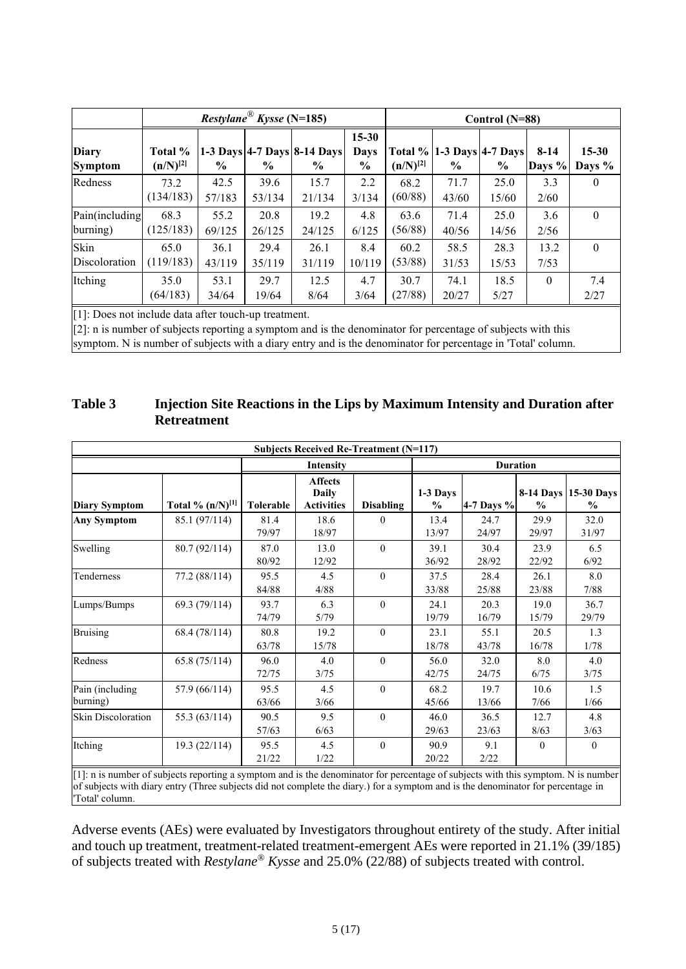|                                |                          |                | Restylane <sup>®</sup> Kysse (N=185) |                                               |                           | Control (N=88)  |                                                   |               |                    |                     |
|--------------------------------|--------------------------|----------------|--------------------------------------|-----------------------------------------------|---------------------------|-----------------|---------------------------------------------------|---------------|--------------------|---------------------|
| <b>Diary</b><br><b>Symptom</b> | Total %<br>$(n/N)^{[2]}$ | $\frac{6}{9}$  | $\frac{0}{0}$                        | 1-3 Days 4-7 Days 8-14 Days<br>$\frac{6}{10}$ | $15 - 30$<br>Davs<br>$\%$ | $(n/N)^{[2]}$   | <b>Total % 1-3 Days 4-7 Days</b><br>$\frac{6}{6}$ | $\frac{6}{6}$ | $8-14$<br>Days $%$ | $15 - 30$<br>Days % |
| Redness                        | 73.2<br>(134/183)        | 42.5<br>57/183 | 39.6<br>53/134                       | 15.7<br>21/134                                | 2.2<br>3/134              | 68.2<br>(60/88) | 71.7<br>43/60                                     | 25.0<br>15/60 | 3.3<br>2/60        | $\theta$            |
| Pain(including<br>burning)     | 68.3<br>(125/183)        | 55.2<br>69/125 | 20.8<br>26/125                       | 19.2<br>24/125                                | 4.8<br>6/125              | 63.6<br>(56/88) | 71.4<br>40/56                                     | 25.0<br>14/56 | 3.6<br>2/56        | $\theta$            |
| Skin<br>Discoloration          | 65.0<br>(119/183)        | 36.1<br>43/119 | 29.4<br>35/119                       | 26.1<br>31/119                                | 8.4<br>10/119             | 60.2<br>(53/88) | 58.5<br>31/53                                     | 28.3<br>15/53 | 13.2<br>7/53       | $\theta$            |
| Itching                        | 35.0<br>(64/183)         | 53.1<br>34/64  | 29.7<br>19/64                        | 12.5<br>8/64                                  | 4.7<br>3/64               | 30.7<br>(27/88) | 74.1<br>20/27                                     | 18.5<br>5/27  | $\Omega$           | 7.4<br>2/27         |

[1]: Does not include data after touch-up treatment.

[2]: n is number of subjects reporting a symptom and is the denominator for percentage of subjects with this symptom. N is number of subjects with a diary entry and is the denominator for percentage in 'Total' column.

#### <span id="page-4-0"></span>**Table 3 Injection Site Reactions in the Lips by Maximum Intensity and Duration after Retreatment**

|                             | <b>Subjects Received Re-Treatment (N=117)</b> |               |                                                     |                  |                           |               |                 |                                       |  |
|-----------------------------|-----------------------------------------------|---------------|-----------------------------------------------------|------------------|---------------------------|---------------|-----------------|---------------------------------------|--|
|                             |                                               |               | Intensity                                           |                  |                           |               | <b>Duration</b> |                                       |  |
| <b>Diary Symptom</b>        | Total % $(n/N)^{[1]}$                         | Tolerable     | <b>Affects</b><br><b>Daily</b><br><b>Activities</b> | <b>Disabling</b> | 1-3 Days<br>$\frac{0}{0}$ | 4-7 Days $%$  | $\frac{0}{0}$   | 8-14 Days 15-30 Days<br>$\frac{0}{0}$ |  |
| <b>Any Symptom</b>          | 85.1 (97/114)                                 | 81.4<br>79/97 | 18.6<br>18/97                                       | $\mathbf{0}$     | 13.4<br>13/97             | 24.7<br>24/97 | 29.9<br>29/97   | 32.0<br>31/97                         |  |
| Swelling                    | 80.7(92/114)                                  | 87.0<br>80/92 | 13.0<br>12/92                                       | $\theta$         | 39.1<br>36/92             | 30.4<br>28/92 | 23.9<br>22/92   | 6.5<br>6/92                           |  |
| Tenderness                  | 77.2 (88/114)                                 | 95.5<br>84/88 | 4.5<br>4/88                                         | $\theta$         | 37.5<br>33/88             | 28.4<br>25/88 | 26.1<br>23/88   | 8.0<br>7/88                           |  |
| Lumps/Bumps                 | 69.3 (79/114)                                 | 93.7<br>74/79 | 6.3<br>5/79                                         | $\theta$         | 24.1<br>19/79             | 20.3<br>16/79 | 19.0<br>15/79   | 36.7<br>29/79                         |  |
| <b>Bruising</b>             | 68.4 (78/114)                                 | 80.8<br>63/78 | 19.2<br>15/78                                       | $\theta$         | 23.1<br>18/78             | 55.1<br>43/78 | 20.5<br>16/78   | 1.3<br>1/78                           |  |
| Redness                     | 65.8(75/114)                                  | 96.0<br>72/75 | 4.0<br>3/75                                         | $\theta$         | 56.0<br>42/75             | 32.0<br>24/75 | 8.0<br>6/75     | 4.0<br>3/75                           |  |
| Pain (including<br>burning) | 57.9 (66/114)                                 | 95.5<br>63/66 | 4.5<br>3/66                                         | $\theta$         | 68.2<br>45/66             | 19.7<br>13/66 | 10.6<br>7/66    | 1.5<br>1/66                           |  |
| <b>Skin Discoloration</b>   | 55.3 (63/114)                                 | 90.5<br>57/63 | 9.5<br>6/63                                         | $\theta$         | 46.0<br>29/63             | 36.5<br>23/63 | 12.7<br>8/63    | 4.8<br>3/63                           |  |
| Itching                     | 19.3 (22/114)                                 | 95.5<br>21/22 | 4.5<br>1/22                                         | $\mathbf{0}$     | 90.9<br>20/22             | 9.1<br>2/22   | $\mathbf{0}$    | $\mathbf{0}$                          |  |

[1]: n is number of subjects reporting a symptom and is the denominator for percentage of subjects with this symptom. N is number of subjects with diary entry (Three subjects did not complete the diary.) for a symptom and is the denominator for percentage in 'Total' column.

Adverse events (AEs) were evaluated by Investigators throughout entirety of the study. After initial and touch up treatment, treatment-related treatment-emergent AEs were reported in 21.1% (39/185) of subjects treated with *Restylane® Kysse* and 25.0% (22/88) of subjects treated with control.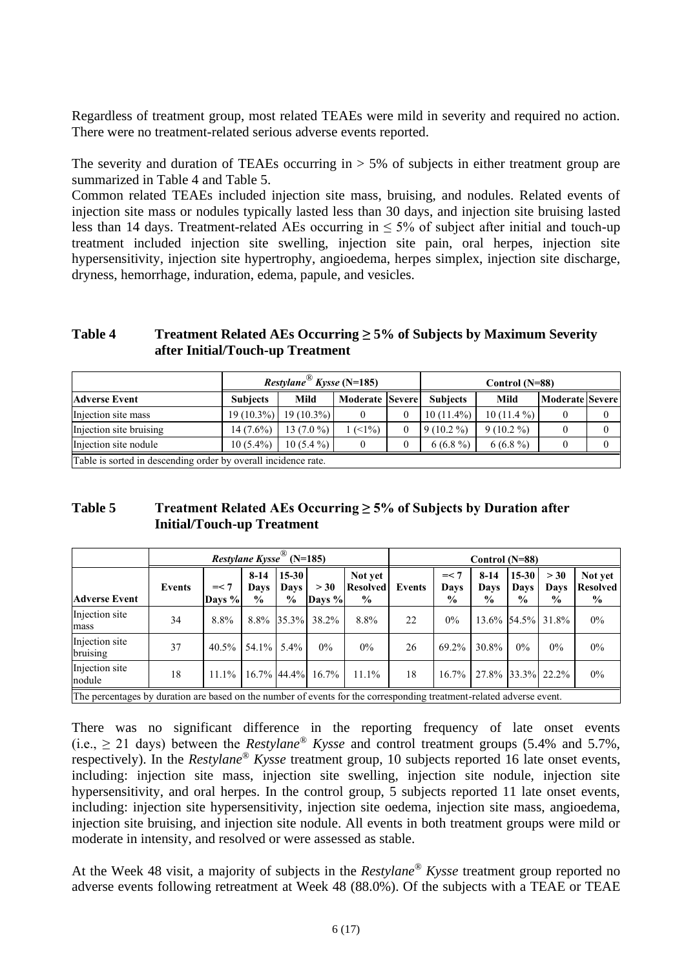Regardless of treatment group, most related TEAEs were mild in severity and required no action. There were no treatment-related serious adverse events reported.

The severity and duration of TEAEs occurring in  $> 5\%$  of subjects in either treatment group are summarized in [Table 4](#page-5-0) and [Table 5.](#page-5-1)

Common related TEAEs included injection site mass, bruising, and nodules. Related events of injection site mass or nodules typically lasted less than 30 days, and injection site bruising lasted less than 14 days. Treatment-related AEs occurring in  $\leq$  5% of subject after initial and touch-up treatment included injection site swelling, injection site pain, oral herpes, injection site hypersensitivity, injection site hypertrophy, angioedema, herpes simplex, injection site discharge, dryness, hemorrhage, induration, edema, papule, and vesicles.

<span id="page-5-0"></span>**Table 4 Treatment Related AEs Occurring ≥ 5% of Subjects by Maximum Severity after Initial/Touch-up Treatment**

|                                                               |                 | <i>Restylane</i> <sup>®</sup> <i>Kysse</i> (N=185) |                 | Control (N=88)  |              |                 |  |  |
|---------------------------------------------------------------|-----------------|----------------------------------------------------|-----------------|-----------------|--------------|-----------------|--|--|
| <b>Adverse Event</b>                                          | <b>Subjects</b> | Mild                                               | Moderate Severe | <b>Subjects</b> | Mild         | Moderate Severe |  |  |
| Injection site mass                                           |                 | $19(10.3\%)$   19(10.3%)                           |                 | $10(11.4\%)$    | $10(11.4\%)$ |                 |  |  |
| Injection site bruising                                       | $14(7.6\%)$     | $13(7.0\%)$                                        | (<1%)           | $9(10.2\%)$     | $9(10.2\%)$  |                 |  |  |
| Injection site nodule                                         | $10(5.4\%)$     | $10(5.4\%)$                                        |                 | $6(6.8\%)$      | $6(6.8\%)$   |                 |  |  |
| Table is sorted in descending order by overall incidence rate |                 |                                                    |                 |                 |              |                 |  |  |

Table is sorted in descending order by overall incidence rate.

<span id="page-5-1"></span>

| Table 5 | Treatment Related AEs Occurring $\geq$ 5% of Subjects by Duration after |
|---------|-------------------------------------------------------------------------|
|         | <b>Initial/Touch-up Treatment</b>                                       |

|                                                                                                                      | <i>Restylane Kysse</i> <sup>®</sup> (N=185) |                  |                                 |                                    |                |                                             |               | Control $(N=88)$                |                                 |                                  |                               |                                             |
|----------------------------------------------------------------------------------------------------------------------|---------------------------------------------|------------------|---------------------------------|------------------------------------|----------------|---------------------------------------------|---------------|---------------------------------|---------------------------------|----------------------------------|-------------------------------|---------------------------------------------|
| <b>Adverse Event</b>                                                                                                 | Events                                      | $=< 7$<br>Days % | $8-14$<br>Days<br>$\frac{0}{0}$ | $15 - 30$<br>Days<br>$\frac{6}{9}$ | > 30<br>Days % | Not yet<br><b>Resolved</b><br>$\frac{6}{9}$ | <b>Events</b> | $=< 7$<br>Davs<br>$\frac{6}{9}$ | $8-14$<br>Davs<br>$\frac{0}{0}$ | $15-30$<br>Davs<br>$\frac{0}{0}$ | > 30<br>Davs<br>$\frac{6}{9}$ | Not yet<br><b>Resolved</b><br>$\frac{6}{9}$ |
| Injection site<br>mass                                                                                               | 34                                          | 8.8%             | 8.8%                            | $35.3\%$                           | 38.2%          | 8.8%                                        | 22            | $0\%$                           |                                 |                                  | 13.6% 54.5% 31.8%             | $0\%$                                       |
| Injection site<br>bruising                                                                                           | 37                                          | $40.5\%$         | $54.1\%$ 5.4%                   |                                    | $0\%$          | $0\%$                                       | 26            | 69.2%                           | 30.8%                           | $0\%$                            | $0\%$                         | $0\%$                                       |
| Injection site<br>nodule                                                                                             | 18                                          | $11.1\%$         |                                 | 16.7% 44.4%                        | $16.7\%$       | $11.1\%$                                    | 18            | $16.7\%$                        | 27.8% 33.3% 22.2%               |                                  |                               | $0\%$                                       |
| The percentages by duration are based on the number of events for the corresponding treatment-related adverse event. |                                             |                  |                                 |                                    |                |                                             |               |                                 |                                 |                                  |                               |                                             |

There was no significant difference in the reporting frequency of late onset events (i.e.,  $\geq$  21 days) between the *Restylane<sup>®</sup> Kysse* and control treatment groups (5.4% and 5.7%, respectively). In the *Restylane® Kysse* treatment group, 10 subjects reported 16 late onset events, including: injection site mass, injection site swelling, injection site nodule, injection site hypersensitivity, and oral herpes. In the control group, 5 subjects reported 11 late onset events, including: injection site hypersensitivity, injection site oedema, injection site mass, angioedema, injection site bruising, and injection site nodule. All events in both treatment groups were mild or moderate in intensity, and resolved or were assessed as stable.

At the Week 48 visit, a majority of subjects in the *Restylane® Kysse* treatment group reported no adverse events following retreatment at Week 48 (88.0%). Of the subjects with a TEAE or TEAE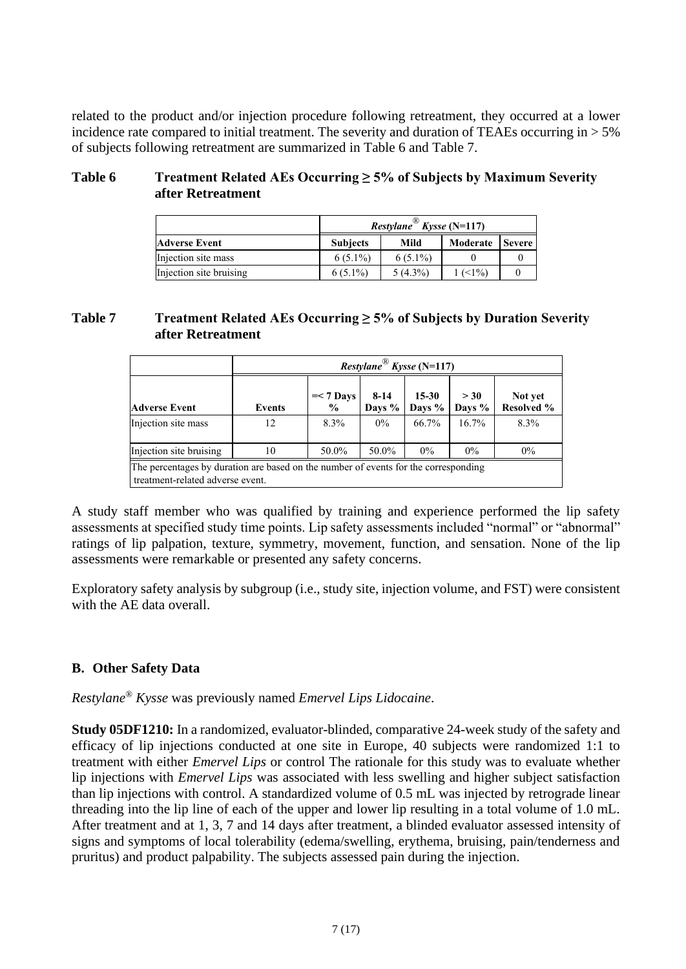related to the product and/or injection procedure following retreatment, they occurred at a lower incidence rate compared to initial treatment. The severity and duration of TEAEs occurring in  $> 5\%$ of subjects following retreatment are summarized in [Table 6](#page-6-0) and [Table 7.](#page-6-1)

#### <span id="page-6-0"></span>**Table 6 Treatment Related AEs Occurring ≥ 5% of Subjects by Maximum Severity after Retreatment**

|                         | <i>Restylane</i> <sup>®</sup> <i>Kysse</i> (N=117) |            |            |               |  |  |  |
|-------------------------|----------------------------------------------------|------------|------------|---------------|--|--|--|
| <b>Adverse Event</b>    | <b>Subjects</b>                                    | Mild       | Moderate   | <b>Severe</b> |  |  |  |
| Injection site mass     | $6(5.1\%)$                                         | $6(5.1\%)$ |            |               |  |  |  |
| Injection site bruising | $6(5.1\%)$                                         | $5(4.3\%)$ | $1 (51\%)$ |               |  |  |  |

#### <span id="page-6-1"></span>**Table 7 Treatment Related AEs Occurring ≥ 5% of Subjects by Duration Severity after Retreatment**

|                         |                                                                                                                         | Restylane <sup>®</sup> Kysse (N=117) |                  |                     |                |                       |  |  |  |  |
|-------------------------|-------------------------------------------------------------------------------------------------------------------------|--------------------------------------|------------------|---------------------|----------------|-----------------------|--|--|--|--|
| <b>Adverse Event</b>    | <b>Events</b>                                                                                                           | $=< 7$ Days<br>$\frac{6}{9}$         | $8-14$<br>Days % | $15 - 30$<br>Days % | > 30<br>Days % | Not yet<br>Resolved % |  |  |  |  |
| Injection site mass     | 12                                                                                                                      | 8.3%                                 | $0\%$            | 66.7%               | $16.7\%$       | 8.3%                  |  |  |  |  |
| Injection site bruising | 10                                                                                                                      | 50.0%                                | 50.0%            | $0\%$               | $0\%$          | $0\%$                 |  |  |  |  |
|                         | The percentages by duration are based on the number of events for the corresponding<br>treatment-related adverse event. |                                      |                  |                     |                |                       |  |  |  |  |

A study staff member who was qualified by training and experience performed the lip safety assessments at specified study time points. Lip safety assessments included "normal" or "abnormal" ratings of lip palpation, texture, symmetry, movement, function, and sensation. None of the lip assessments were remarkable or presented any safety concerns.

Exploratory safety analysis by subgroup (i.e., study site, injection volume, and FST) were consistent with the AE data overall.

#### **B. Other Safety Data**

*Restylane® Kysse* was previously named *Emervel Lips Lidocaine*.

**Study 05DF1210:** In a randomized, evaluator-blinded, comparative 24-week study of the safety and efficacy of lip injections conducted at one site in Europe, 40 subjects were randomized 1:1 to treatment with either *Emervel Lips* or control The rationale for this study was to evaluate whether lip injections with *Emervel Lips* was associated with less swelling and higher subject satisfaction than lip injections with control. A standardized volume of 0.5 mL was injected by retrograde linear threading into the lip line of each of the upper and lower lip resulting in a total volume of 1.0 mL. After treatment and at 1, 3, 7 and 14 days after treatment, a blinded evaluator assessed intensity of signs and symptoms of local tolerability (edema/swelling, erythema, bruising, pain/tenderness and pruritus) and product palpability. The subjects assessed pain during the injection.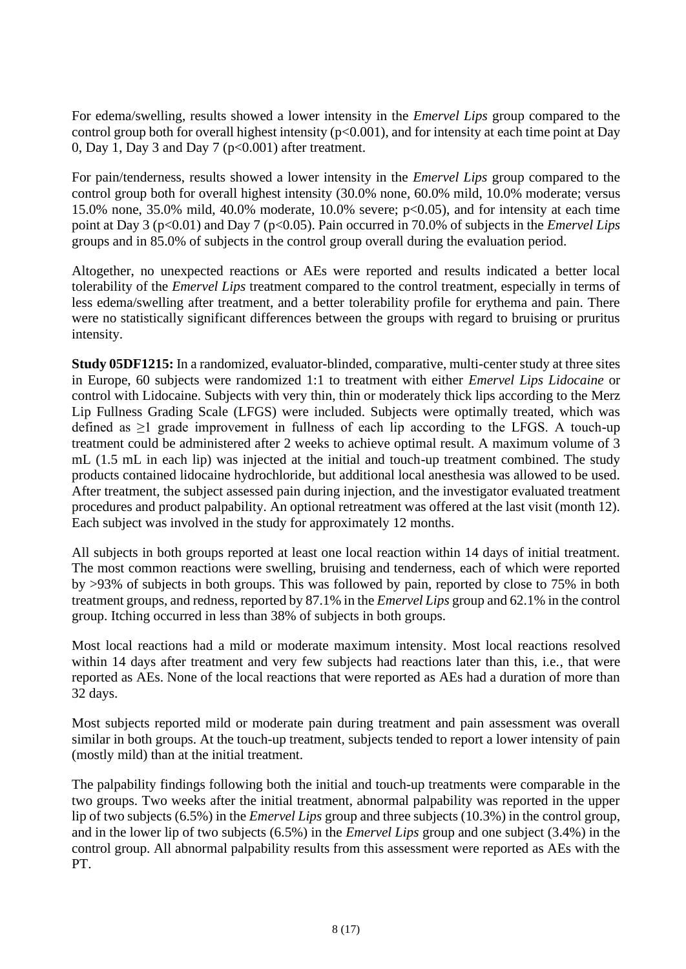For edema/swelling, results showed a lower intensity in the *Emervel Lips* group compared to the control group both for overall highest intensity ( $p<0.001$ ), and for intensity at each time point at Day 0, Day 1, Day 3 and Day 7 ( $p<0.001$ ) after treatment.

For pain/tenderness, results showed a lower intensity in the *Emervel Lips* group compared to the control group both for overall highest intensity (30.0% none, 60.0% mild, 10.0% moderate; versus 15.0% none, 35.0% mild, 40.0% moderate, 10.0% severe;  $p<0.05$ ), and for intensity at each time point at Day 3 (p<0.01) and Day 7 (p<0.05). Pain occurred in 70.0% of subjects in the *Emervel Lips* groups and in 85.0% of subjects in the control group overall during the evaluation period.

Altogether, no unexpected reactions or AEs were reported and results indicated a better local tolerability of the *Emervel Lips* treatment compared to the control treatment, especially in terms of less edema/swelling after treatment, and a better tolerability profile for erythema and pain. There were no statistically significant differences between the groups with regard to bruising or pruritus intensity.

**Study 05DF1215:** In a randomized, evaluator-blinded, comparative, multi-center study at three sites in Europe, 60 subjects were randomized 1:1 to treatment with either *Emervel Lips Lidocaine* or control with Lidocaine. Subjects with very thin, thin or moderately thick lips according to the Merz Lip Fullness Grading Scale (LFGS) were included. Subjects were optimally treated, which was defined as  $\geq 1$  grade improvement in fullness of each lip according to the LFGS. A touch-up treatment could be administered after 2 weeks to achieve optimal result. A maximum volume of 3 mL (1.5 mL in each lip) was injected at the initial and touch-up treatment combined. The study products contained lidocaine hydrochloride, but additional local anesthesia was allowed to be used. After treatment, the subject assessed pain during injection, and the investigator evaluated treatment procedures and product palpability. An optional retreatment was offered at the last visit (month 12). Each subject was involved in the study for approximately 12 months.

All subjects in both groups reported at least one local reaction within 14 days of initial treatment. The most common reactions were swelling, bruising and tenderness, each of which were reported by >93% of subjects in both groups. This was followed by pain, reported by close to 75% in both treatment groups, and redness, reported by 87.1% in the *Emervel Lips* group and 62.1% in the control group. Itching occurred in less than 38% of subjects in both groups.

Most local reactions had a mild or moderate maximum intensity. Most local reactions resolved within 14 days after treatment and very few subjects had reactions later than this, i.e., that were reported as AEs. None of the local reactions that were reported as AEs had a duration of more than 32 days.

Most subjects reported mild or moderate pain during treatment and pain assessment was overall similar in both groups. At the touch-up treatment, subjects tended to report a lower intensity of pain (mostly mild) than at the initial treatment.

The palpability findings following both the initial and touch-up treatments were comparable in the two groups. Two weeks after the initial treatment, abnormal palpability was reported in the upper lip of two subjects (6.5%) in the *Emervel Lips* group and three subjects (10.3%) in the control group, and in the lower lip of two subjects (6.5%) in the *Emervel Lips* group and one subject (3.4%) in the control group. All abnormal palpability results from this assessment were reported as AEs with the PT.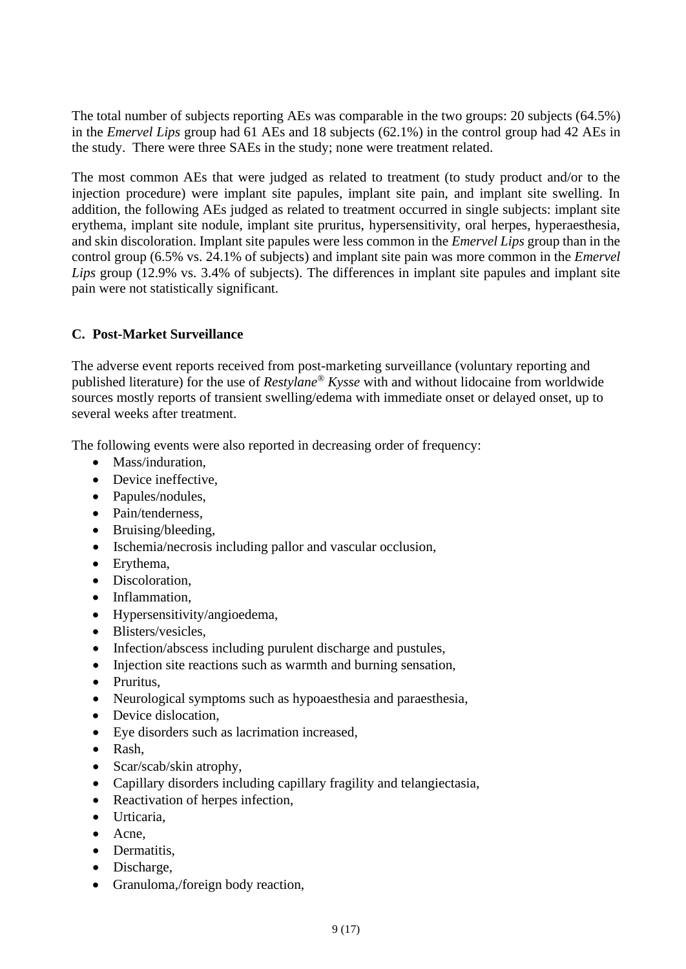The total number of subjects reporting AEs was comparable in the two groups: 20 subjects (64.5%) in the *Emervel Lips* group had 61 AEs and 18 subjects (62.1%) in the control group had 42 AEs in the study. There were three SAEs in the study; none were treatment related.

The most common AEs that were judged as related to treatment (to study product and/or to the injection procedure) were implant site papules, implant site pain, and implant site swelling. In addition, the following AEs judged as related to treatment occurred in single subjects: implant site erythema, implant site nodule, implant site pruritus, hypersensitivity, oral herpes, hyperaesthesia, and skin discoloration. Implant site papules were less common in the *Emervel Lips* group than in the control group (6.5% vs. 24.1% of subjects) and implant site pain was more common in the *Emervel Lips* group (12.9% vs. 3.4% of subjects). The differences in implant site papules and implant site pain were not statistically significant.

### **C. Post-Market Surveillance**

The adverse event reports received from post-marketing surveillance (voluntary reporting and published literature) for the use of *Restylane® Kysse* with and without lidocaine from worldwide sources mostly reports of transient swelling/edema with immediate onset or delayed onset, up to several weeks after treatment.

The following events were also reported in decreasing order of frequency:

- Mass/induration
- Device ineffective,
- Papules/nodules,
- Pain/tenderness.
- Bruising/bleeding,
- Ischemia/necrosis including pallor and vascular occlusion,
- Erythema,
- Discoloration,
- Inflammation,
- Hypersensitivity/angioedema,
- Blisters/vesicles,
- Infection/abscess including purulent discharge and pustules,
- Injection site reactions such as warmth and burning sensation,
- Pruritus,
- Neurological symptoms such as hypoaesthesia and paraesthesia,
- Device dislocation,
- Eye disorders such as lacrimation increased,
- Rash,
- Scar/scab/skin atrophy,
- Capillary disorders including capillary fragility and telangiectasia,
- Reactivation of herpes infection,
- Urticaria,
- Acne,
- Dermatitis.
- Discharge,
- Granuloma,/foreign body reaction,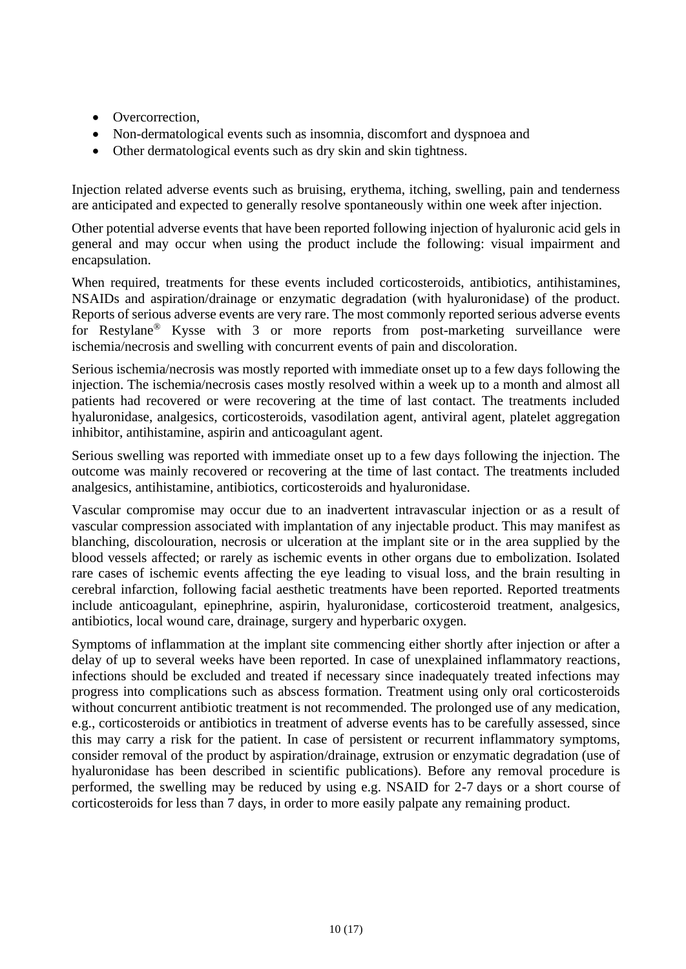- Overcorrection.
- Non-dermatological events such as insomnia, discomfort and dyspnoea and
- Other dermatological events such as dry skin and skin tightness.

Injection related adverse events such as bruising, erythema, itching, swelling, pain and tenderness are anticipated and expected to generally resolve spontaneously within one week after injection.

Other potential adverse events that have been reported following injection of hyaluronic acid gels in general and may occur when using the product include the following: visual impairment and encapsulation.

When required, treatments for these events included corticosteroids, antibiotics, antihistamines, NSAIDs and aspiration/drainage or enzymatic degradation (with hyaluronidase) of the product. Reports of serious adverse events are very rare. The most commonly reported serious adverse events for Restylane*®* Kysse with 3 or more reports from post-marketing surveillance were ischemia/necrosis and swelling with concurrent events of pain and discoloration.

Serious ischemia/necrosis was mostly reported with immediate onset up to a few days following the injection. The ischemia/necrosis cases mostly resolved within a week up to a month and almost all patients had recovered or were recovering at the time of last contact. The treatments included hyaluronidase, analgesics, corticosteroids, vasodilation agent, antiviral agent, platelet aggregation inhibitor, antihistamine, aspirin and anticoagulant agent.

Serious swelling was reported with immediate onset up to a few days following the injection. The outcome was mainly recovered or recovering at the time of last contact. The treatments included analgesics, antihistamine, antibiotics, corticosteroids and hyaluronidase.

Vascular compromise may occur due to an inadvertent intravascular injection or as a result of vascular compression associated with implantation of any injectable product. This may manifest as blanching, discolouration, necrosis or ulceration at the implant site or in the area supplied by the blood vessels affected; or rarely as ischemic events in other organs due to embolization. Isolated rare cases of ischemic events affecting the eye leading to visual loss, and the brain resulting in cerebral infarction, following facial aesthetic treatments have been reported. Reported treatments include anticoagulant, epinephrine, aspirin, hyaluronidase, corticosteroid treatment, analgesics, antibiotics, local wound care, drainage, surgery and hyperbaric oxygen.

Symptoms of inflammation at the implant site commencing either shortly after injection or after a delay of up to several weeks have been reported. In case of unexplained inflammatory reactions, infections should be excluded and treated if necessary since inadequately treated infections may progress into complications such as abscess formation. Treatment using only oral corticosteroids without concurrent antibiotic treatment is not recommended. The prolonged use of any medication, e.g., corticosteroids or antibiotics in treatment of adverse events has to be carefully assessed, since this may carry a risk for the patient. In case of persistent or recurrent inflammatory symptoms, consider removal of the product by aspiration/drainage, extrusion or enzymatic degradation (use of hyaluronidase has been described in scientific publications). Before any removal procedure is performed, the swelling may be reduced by using e.g. NSAID for 2-7 days or a short course of corticosteroids for less than 7 days, in order to more easily palpate any remaining product.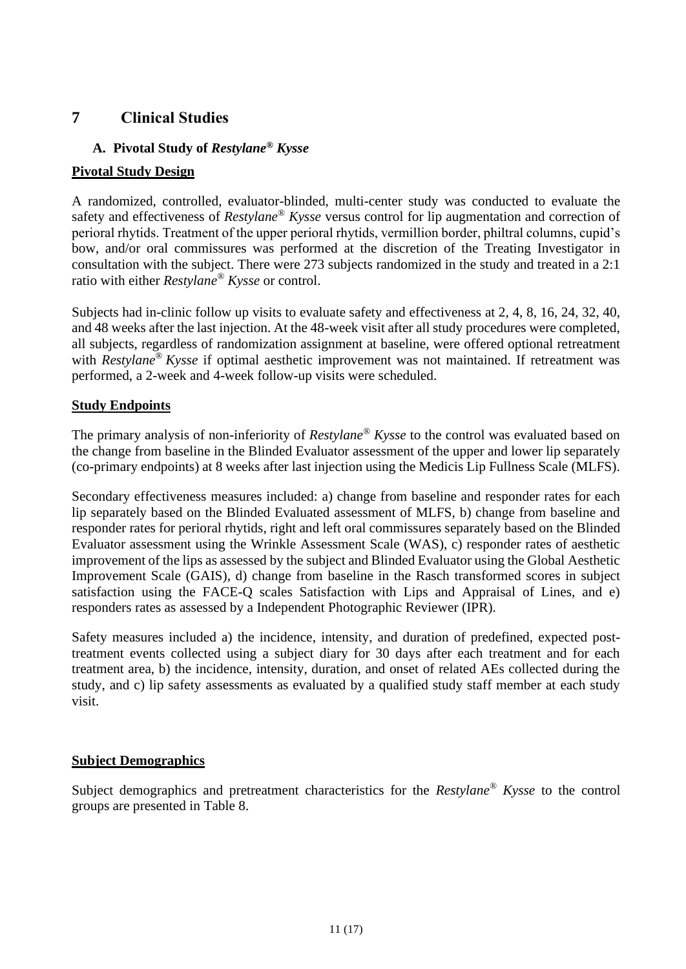### **7 Clinical Studies**

### **A. Pivotal Study of** *Restylane® Kysse*

### **Pivotal Study Design**

A randomized, controlled, evaluator-blinded, multi-center study was conducted to evaluate the safety and effectiveness of *Restylane® Kysse* versus control for lip augmentation and correction of perioral rhytids. Treatment of the upper perioral rhytids, vermillion border, philtral columns, cupid's bow, and/or oral commissures was performed at the discretion of the Treating Investigator in consultation with the subject. There were 273 subjects randomized in the study and treated in a 2:1 ratio with either *Restylane® Kysse* or control.

Subjects had in-clinic follow up visits to evaluate safety and effectiveness at 2, 4, 8, 16, 24, 32, 40, and 48 weeks after the last injection. At the 48-week visit after all study procedures were completed, all subjects, regardless of randomization assignment at baseline, were offered optional retreatment with *Restylane ® Kysse* if optimal aesthetic improvement was not maintained. If retreatment was performed, a 2-week and 4-week follow-up visits were scheduled.

### **Study Endpoints**

The primary analysis of non-inferiority of *Restylane® Kysse* to the control was evaluated based on the change from baseline in the Blinded Evaluator assessment of the upper and lower lip separately (co-primary endpoints) at 8 weeks after last injection using the Medicis Lip Fullness Scale (MLFS).

Secondary effectiveness measures included: a) change from baseline and responder rates for each lip separately based on the Blinded Evaluated assessment of MLFS, b) change from baseline and responder rates for perioral rhytids, right and left oral commissures separately based on the Blinded Evaluator assessment using the Wrinkle Assessment Scale (WAS), c) responder rates of aesthetic improvement of the lips as assessed by the subject and Blinded Evaluator using the Global Aesthetic Improvement Scale (GAIS), d) change from baseline in the Rasch transformed scores in subject satisfaction using the FACE-Q scales Satisfaction with Lips and Appraisal of Lines, and e) responders rates as assessed by a Independent Photographic Reviewer (IPR).

Safety measures included a) the incidence, intensity, and duration of predefined, expected posttreatment events collected using a subject diary for 30 days after each treatment and for each treatment area, b) the incidence, intensity, duration, and onset of related AEs collected during the study, and c) lip safety assessments as evaluated by a qualified study staff member at each study visit.

### **Subject Demographics**

Subject demographics and pretreatment characteristics for the *Restylane® Kysse* to the control groups are presented in [Table 8.](#page-11-0)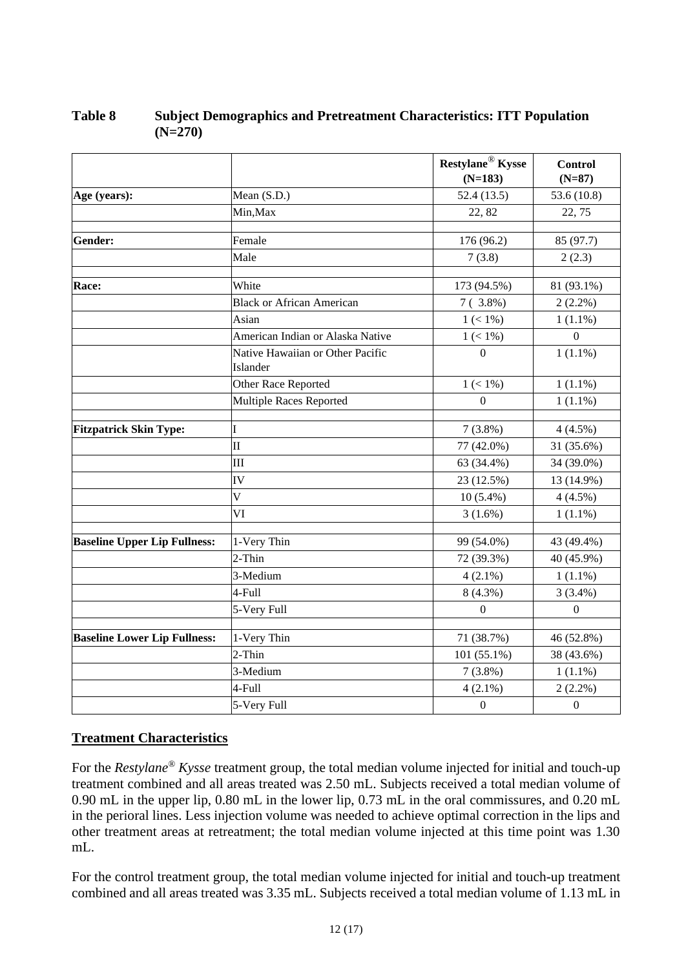|                                     |                                              | Restylane <sup>®</sup> Kysse<br>$(N=183)$ | Control<br>$(N=87)$ |
|-------------------------------------|----------------------------------------------|-------------------------------------------|---------------------|
| Age (years):                        | Mean (S.D.)                                  | 52.4(13.5)                                | 53.6 (10.8)         |
|                                     | Min, Max                                     | 22, 82                                    | 22, 75              |
|                                     |                                              |                                           |                     |
| Gender:                             | Female                                       | 176 (96.2)                                | 85 (97.7)           |
|                                     | Male                                         | 7(3.8)                                    | 2(2.3)              |
| Race:                               | White                                        | 173 (94.5%)                               | 81 (93.1%)          |
|                                     | <b>Black or African American</b>             | $7(3.8\%)$                                | $2(2.2\%)$          |
|                                     | Asian                                        | $1 (< 1\%)$                               | $1(1.1\%)$          |
|                                     | American Indian or Alaska Native             | $1 (< 1\%)$                               | $\Omega$            |
|                                     | Native Hawaiian or Other Pacific<br>Islander | $\theta$                                  | $1(1.1\%)$          |
|                                     | Other Race Reported                          | $1 (< 1\%)$                               | $1(1.1\%)$          |
|                                     | Multiple Races Reported                      | $\Omega$                                  | $1(1.1\%)$          |
| <b>Fitzpatrick Skin Type:</b>       | I                                            | $7(3.8\%)$                                | 4(4.5%)             |
|                                     | $\mathbf{I}$                                 | 77 (42.0%)                                | 31 (35.6%)          |
|                                     | Ш                                            | 63 (34.4%)                                | 34 (39.0%)          |
|                                     | IV                                           | 23 (12.5%)                                | 13 (14.9%)          |
|                                     | V                                            | $10(5.4\%)$                               | 4(4.5%)             |
|                                     | VI                                           | $3(1.6\%)$                                | $1(1.1\%)$          |
| <b>Baseline Upper Lip Fullness:</b> | 1-Very Thin                                  | 99 (54.0%)                                | 43 (49.4%)          |
|                                     | $2$ -Thin                                    | 72 (39.3%)                                | 40 (45.9%)          |
|                                     | 3-Medium                                     | $4(2.1\%)$                                | $1(1.1\%)$          |
|                                     | 4-Full                                       | 8 (4.3%)                                  | $3(3.4\%)$          |
|                                     | 5-Very Full                                  | $\theta$                                  | $\boldsymbol{0}$    |
|                                     |                                              |                                           |                     |
| <b>Baseline Lower Lip Fullness:</b> | 1-Very Thin                                  | 71 (38.7%)                                | 46 (52.8%)          |
|                                     | 2-Thin                                       | 101 (55.1%)                               | 38 (43.6%)          |
|                                     | 3-Medium                                     | $7(3.8\%)$                                | $1(1.1\%)$          |
|                                     | 4-Full                                       | $4(2.1\%)$                                | $2(2.2\%)$          |
|                                     | 5-Very Full                                  | $\boldsymbol{0}$                          | $\boldsymbol{0}$    |

### <span id="page-11-0"></span>**Table 8 Subject Demographics and Pretreatment Characteristics: ITT Population (N=270)**

### **Treatment Characteristics**

For the *Restylane® Kysse* treatment group, the total median volume injected for initial and touch-up treatment combined and all areas treated was 2.50 mL. Subjects received a total median volume of 0.90 mL in the upper lip, 0.80 mL in the lower lip, 0.73 mL in the oral commissures, and 0.20 mL in the perioral lines. Less injection volume was needed to achieve optimal correction in the lips and other treatment areas at retreatment; the total median volume injected at this time point was 1.30 mL.

For the control treatment group, the total median volume injected for initial and touch-up treatment combined and all areas treated was 3.35 mL. Subjects received a total median volume of 1.13 mL in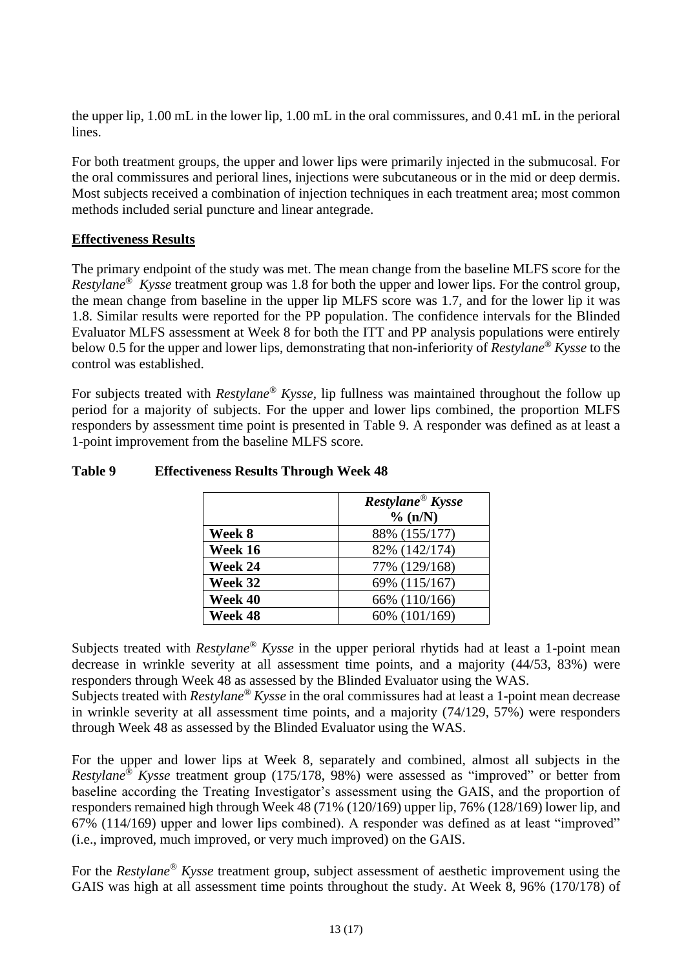the upper lip, 1.00 mL in the lower lip, 1.00 mL in the oral commissures, and 0.41 mL in the perioral lines.

For both treatment groups, the upper and lower lips were primarily injected in the submucosal. For the oral commissures and perioral lines, injections were subcutaneous or in the mid or deep dermis. Most subjects received a combination of injection techniques in each treatment area; most common methods included serial puncture and linear antegrade.

#### **Effectiveness Results**

The primary endpoint of the study was met. The mean change from the baseline MLFS score for the *Restylane® Kysse* treatment group was 1.8 for both the upper and lower lips. For the control group, the mean change from baseline in the upper lip MLFS score was 1.7, and for the lower lip it was 1.8. Similar results were reported for the PP population. The confidence intervals for the Blinded Evaluator MLFS assessment at Week 8 for both the ITT and PP analysis populations were entirely below 0.5 for the upper and lower lips, demonstrating that non-inferiority of *Restylane® Kysse* to the control was established.

For subjects treated with *Restylane® Kysse,* lip fullness was maintained throughout the follow up period for a majority of subjects. For the upper and lower lips combined, the proportion MLFS responders by assessment time point is presented in [Table 9.](#page-12-0) A responder was defined as at least a 1-point improvement from the baseline MLFS score.

|         | Restylane <sup>®</sup> Kysse<br>% (n/N) |
|---------|-----------------------------------------|
| Week 8  | 88% (155/177)                           |
| Week 16 | 82% (142/174)                           |
| Week 24 | 77% (129/168)                           |
| Week 32 | 69% (115/167)                           |
| Week 40 | 66% (110/166)                           |
| Week 48 | 60% (101/169)                           |

#### <span id="page-12-0"></span>**Table 9 Effectiveness Results Through Week 48**

Subjects treated with *Restylane® Kysse* in the upper perioral rhytids had at least a 1-point mean decrease in wrinkle severity at all assessment time points, and a majority (44/53, 83%) were responders through Week 48 as assessed by the Blinded Evaluator using the WAS.

Subjects treated with *Restylane® Kysse* in the oral commissures had at least a 1-point mean decrease in wrinkle severity at all assessment time points, and a majority (74/129, 57%) were responders through Week 48 as assessed by the Blinded Evaluator using the WAS.

For the upper and lower lips at Week 8, separately and combined, almost all subjects in the *Restylane® Kysse* treatment group (175/178, 98%) were assessed as "improved" or better from baseline according the Treating Investigator's assessment using the GAIS, and the proportion of responders remained high through Week 48 (71% (120/169) upper lip, 76% (128/169) lower lip, and 67% (114/169) upper and lower lips combined). A responder was defined as at least "improved" (i.e., improved, much improved, or very much improved) on the GAIS.

For the *Restylane® Kysse* treatment group, subject assessment of aesthetic improvement using the GAIS was high at all assessment time points throughout the study. At Week 8, 96% (170/178) of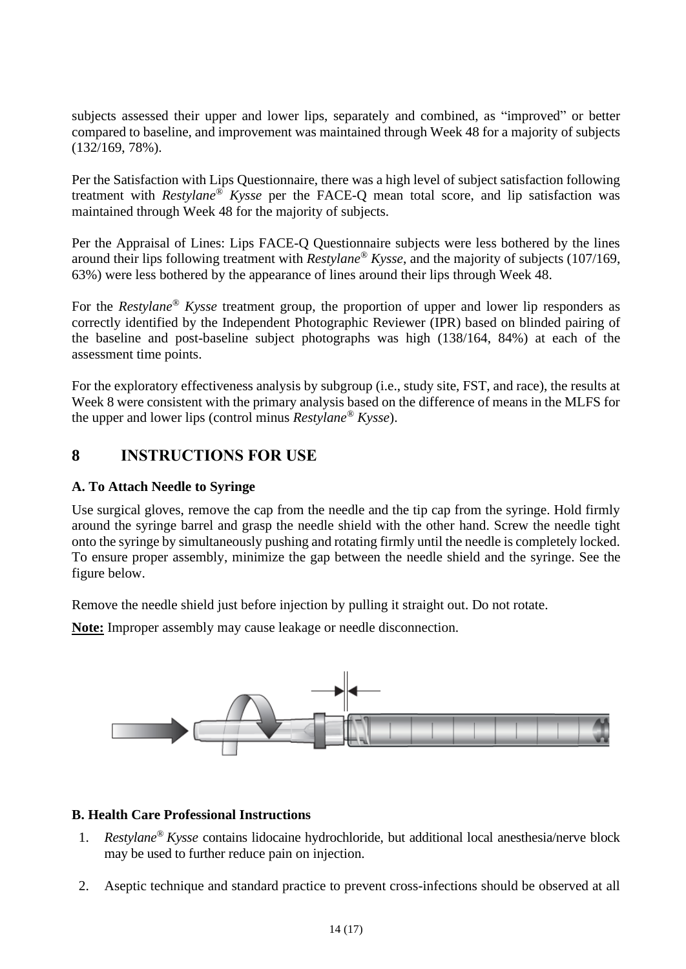subjects assessed their upper and lower lips, separately and combined, as "improved" or better compared to baseline, and improvement was maintained through Week 48 for a majority of subjects (132/169, 78%).

Per the Satisfaction with Lips Questionnaire, there was a high level of subject satisfaction following treatment with *Restylane® Kysse* per the FACE-Q mean total score, and lip satisfaction was maintained through Week 48 for the majority of subjects.

Per the Appraisal of Lines: Lips FACE-Q Questionnaire subjects were less bothered by the lines around their lips following treatment with *Restylane® Kysse*, and the majority of subjects (107/169, 63%) were less bothered by the appearance of lines around their lips through Week 48.

For the *Restylane® Kysse* treatment group, the proportion of upper and lower lip responders as correctly identified by the Independent Photographic Reviewer (IPR) based on blinded pairing of the baseline and post-baseline subject photographs was high (138/164, 84%) at each of the assessment time points.

For the exploratory effectiveness analysis by subgroup (i.e., study site, FST, and race), the results at Week 8 were consistent with the primary analysis based on the difference of means in the MLFS for the upper and lower lips (control minus *Restylane® Kysse*).

# **8 INSTRUCTIONS FOR USE**

### **A. To Attach Needle to Syringe**

Use surgical gloves, remove the cap from the needle and the tip cap from the syringe. Hold firmly around the syringe barrel and grasp the needle shield with the other hand. Screw the needle tight onto the syringe by simultaneously pushing and rotating firmly until the needle is completely locked. To ensure proper assembly, minimize the gap between the needle shield and the syringe. See the figure below.

Remove the needle shield just before injection by pulling it straight out. Do not rotate.

**Note:** Improper assembly may cause leakage or needle disconnection.



#### **B. Health Care Professional Instructions**

- 1. *Restylane® Kysse* contains lidocaine hydrochloride, but additional local anesthesia/nerve block may be used to further reduce pain on injection.
- 2. Aseptic technique and standard practice to prevent cross-infections should be observed at all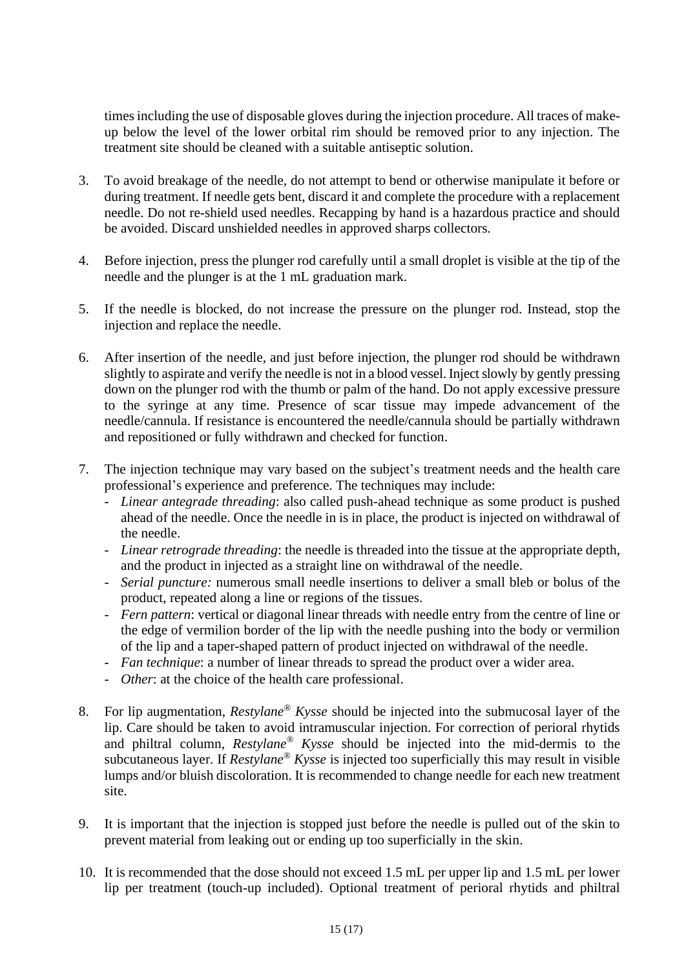times including the use of disposable gloves during the injection procedure. All traces of makeup below the level of the lower orbital rim should be removed prior to any injection. The treatment site should be cleaned with a suitable antiseptic solution.

- 3. To avoid breakage of the needle, do not attempt to bend or otherwise manipulate it before or during treatment. If needle gets bent, discard it and complete the procedure with a replacement needle. Do not re-shield used needles. Recapping by hand is a hazardous practice and should be avoided. Discard unshielded needles in approved sharps collectors.
- 4. Before injection, press the plunger rod carefully until a small droplet is visible at the tip of the needle and the plunger is at the 1 mL graduation mark.
- 5. If the needle is blocked, do not increase the pressure on the plunger rod. Instead, stop the injection and replace the needle.
- 6. After insertion of the needle, and just before injection, the plunger rod should be withdrawn slightly to aspirate and verify the needle is not in a blood vessel. Inject slowly by gently pressing down on the plunger rod with the thumb or palm of the hand. Do not apply excessive pressure to the syringe at any time. Presence of scar tissue may impede advancement of the needle/cannula. If resistance is encountered the needle/cannula should be partially withdrawn and repositioned or fully withdrawn and checked for function.
- 7. The injection technique may vary based on the subject's treatment needs and the health care professional's experience and preference. The techniques may include:
	- *Linear antegrade threading*: also called push-ahead technique as some product is pushed ahead of the needle. Once the needle in is in place, the product is injected on withdrawal of the needle.
	- *Linear retrograde threading*: the needle is threaded into the tissue at the appropriate depth, and the product in injected as a straight line on withdrawal of the needle.
	- *Serial puncture:* numerous small needle insertions to deliver a small bleb or bolus of the product, repeated along a line or regions of the tissues.
	- *Fern pattern*: vertical or diagonal linear threads with needle entry from the centre of line or the edge of vermilion border of the lip with the needle pushing into the body or vermilion of the lip and a taper-shaped pattern of product injected on withdrawal of the needle.
	- *Fan technique*: a number of linear threads to spread the product over a wider area.
	- *Other*: at the choice of the health care professional.
- 8. For lip augmentation, *Restylane® Kysse* should be injected into the submucosal layer of the lip. Care should be taken to avoid intramuscular injection. For correction of perioral rhytids and philtral column, *Restylane® Kysse* should be injected into the mid-dermis to the subcutaneous layer. If *Restylane® Kysse* is injected too superficially this may result in visible lumps and/or bluish discoloration. It is recommended to change needle for each new treatment site.
- 9. It is important that the injection is stopped just before the needle is pulled out of the skin to prevent material from leaking out or ending up too superficially in the skin.
- 10. It is recommended that the dose should not exceed 1.5 mL per upper lip and 1.5 mL per lower lip per treatment (touch-up included). Optional treatment of perioral rhytids and philtral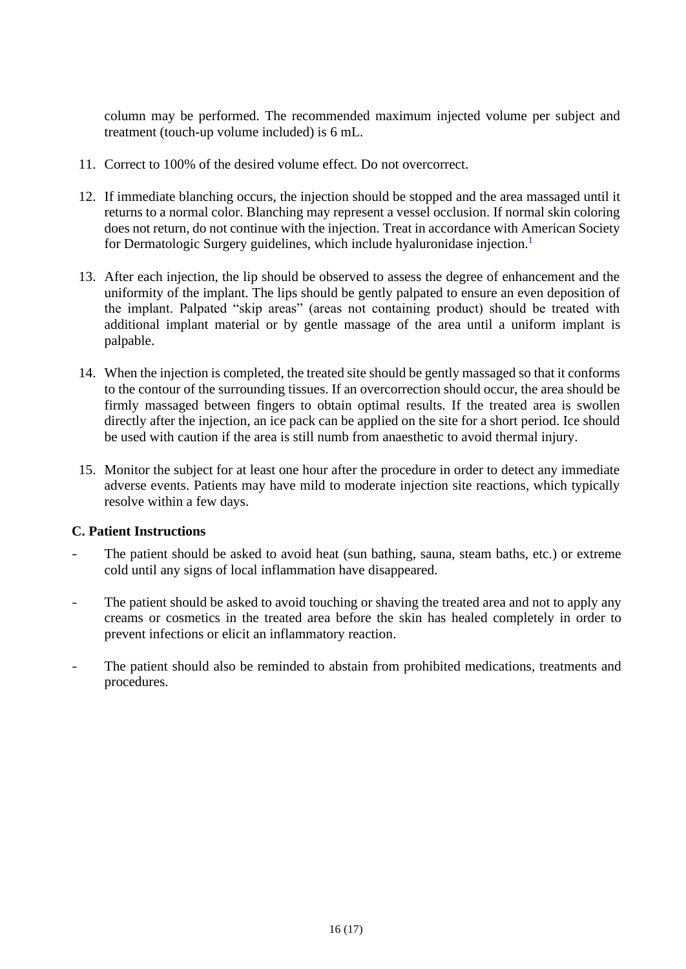column may be performed. The recommended maximum injected volume per subject and treatment (touch-up volume included) is 6 mL.

- 11. Correct to 100% of the desired volume effect. Do not overcorrect.
- 12. If immediate blanching occurs, the injection should be stopped and the area massaged until it returns to a normal color. Blanching may represent a vessel occlusion. If normal skin coloring does not return, do not continue with the injection. Treat in accordance with American Society for Dermatologic Surgery guidelines, which include hyaluronidase injection.<sup>[1](#page-16-0)</sup>
- 13. After each injection, the lip should be observed to assess the degree of enhancement and the uniformity of the implant. The lips should be gently palpated to ensure an even deposition of the implant. Palpated "skip areas" (areas not containing product) should be treated with additional implant material or by gentle massage of the area until a uniform implant is palpable.
- 14. When the injection is completed, the treated site should be gently massaged so that it conforms to the contour of the surrounding tissues. If an overcorrection should occur, the area should be firmly massaged between fingers to obtain optimal results. If the treated area is swollen directly after the injection, an ice pack can be applied on the site for a short period. Ice should be used with caution if the area is still numb from anaesthetic to avoid thermal injury.
- 15. Monitor the subject for at least one hour after the procedure in order to detect any immediate adverse events. Patients may have mild to moderate injection site reactions, which typically resolve within a few days.

#### **C. Patient Instructions**

- The patient should be asked to avoid heat (sun bathing, sauna, steam baths, etc.) or extreme cold until any signs of local inflammation have disappeared.
- The patient should be asked to avoid touching or shaving the treated area and not to apply any creams or cosmetics in the treated area before the skin has healed completely in order to prevent infections or elicit an inflammatory reaction.
- The patient should also be reminded to abstain from prohibited medications, treatments and procedures.